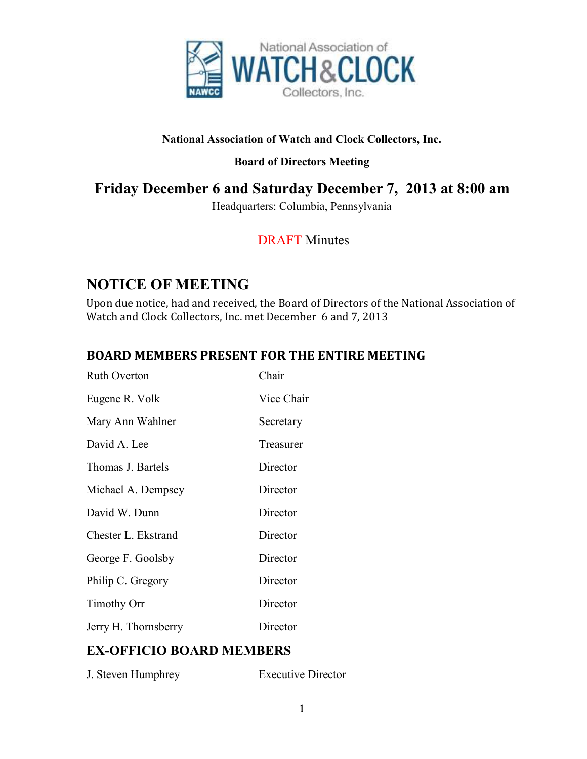

### **National Association of Watch and Clock Collectors, Inc.**

### **Board of Directors Meeting**

## **Friday December 6 and Saturday December 7, 2013 at 8:00 am**

Headquarters: Columbia, Pennsylvania

## DRAFT Minutes

## **NOTICE OF MEETING**

Upon due notice, had and received, the Board of Directors of the National Association of Watch and Clock Collectors, Inc. met December 6 and 7, 2013

## **BOARD MEMBERS PRESENT FOR THE ENTIRE MEETING**

| <b>Ruth Overton</b>  | Chair      |
|----------------------|------------|
| Eugene R. Volk       | Vice Chair |
| Mary Ann Wahlner     | Secretary  |
| David A. Lee         | Treasurer  |
| Thomas J. Bartels    | Director   |
| Michael A. Dempsey   | Director   |
| David W. Dunn        | Director   |
| Chester L. Ekstrand  | Director   |
| George F. Goolsby    | Director   |
| Philip C. Gregory    | Director   |
| <b>Timothy Orr</b>   | Director   |
| Jerry H. Thornsberry | Director   |

## **EX-OFFICIO BOARD MEMBERS**

| J. Steven Humphrey | <b>Executive Director</b> |
|--------------------|---------------------------|
|--------------------|---------------------------|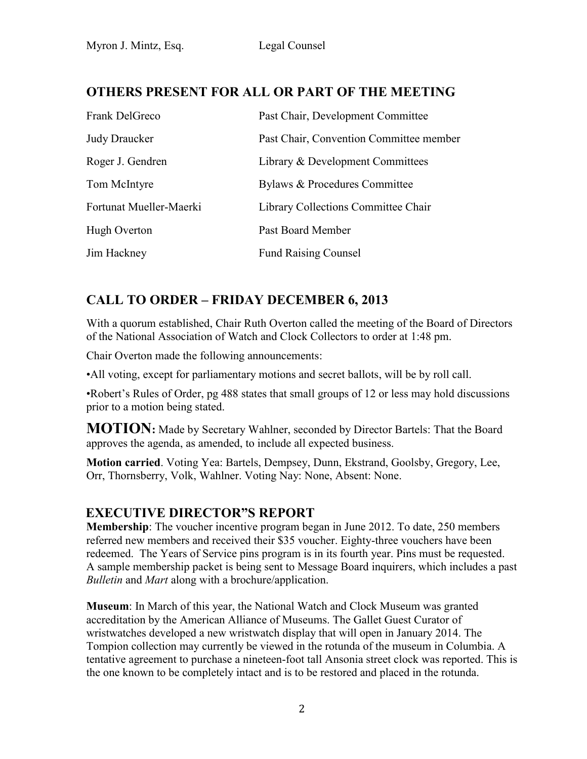## **OTHERS PRESENT FOR ALL OR PART OF THE MEETING**

| Frank DelGreco          | Past Chair, Development Committee       |
|-------------------------|-----------------------------------------|
| <b>Judy Draucker</b>    | Past Chair, Convention Committee member |
| Roger J. Gendren        | Library & Development Committees        |
| Tom McIntyre            | Bylaws & Procedures Committee           |
| Fortunat Mueller-Maerki | Library Collections Committee Chair     |
| Hugh Overton            | Past Board Member                       |
| Jim Hackney             | <b>Fund Raising Counsel</b>             |

## Judy Drauck **CALL TO ORDER – FRIDAY DECEMBER 6, 2013**

With a quorum established, Chair Ruth Overton called the meeting of the Board of Directors of the National Association of Watch and Clock Collectors to order at 1:48 pm.

Chair Overton made the following announcements:

•All voting, except for parliamentary motions and secret ballots, will be by roll call.

•Robert's Rules of Order, pg 488 states that small groups of 12 or less may hold discussions prior to a motion being stated.

**MOTION:** Made by Secretary Wahlner, seconded by Director Bartels: That the Board approves the agenda, as amended, to include all expected business.

**Motion carried**. Voting Yea: Bartels, Dempsey, Dunn, Ekstrand, Goolsby, Gregory, Lee, Orr, Thornsberry, Volk, Wahlner. Voting Nay: None, Absent: None.

### **EXECUTIVE DIRECTOR"S REPORT**

**Membership**: The voucher incentive program began in June 2012. To date, 250 members referred new members and received their \$35 voucher. Eighty-three vouchers have been redeemed. The Years of Service pins program is in its fourth year. Pins must be requested. A sample membership packet is being sent to Message Board inquirers, which includes a past *Bulletin* and *Mart* along with a brochure/application.

**Museum**: In March of this year, the National Watch and Clock Museum was granted accreditation by the American Alliance of Museums. The Gallet Guest Curator of wristwatches developed a new wristwatch display that will open in January 2014. The Tompion collection may currently be viewed in the rotunda of the museum in Columbia. A tentative agreement to purchase a nineteen-foot tall Ansonia street clock was reported. This is the one known to be completely intact and is to be restored and placed in the rotunda.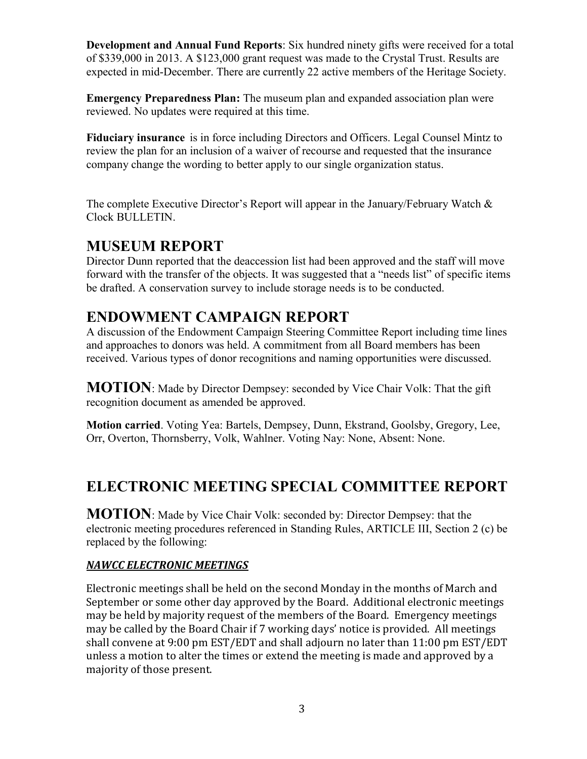**Development and Annual Fund Reports**: Six hundred ninety gifts were received for a total of \$339,000 in 2013. A \$123,000 grant request was made to the Crystal Trust. Results are expected in mid-December. There are currently 22 active members of the Heritage Society.

**Emergency Preparedness Plan:** The museum plan and expanded association plan were reviewed. No updates were required at this time.

**Fiduciary insurance** is in force including Directors and Officers. Legal Counsel Mintz to review the plan for an inclusion of a waiver of recourse and requested that the insurance company change the wording to better apply to our single organization status.

The complete Executive Director's Report will appear in the January/February Watch & Clock BULLETIN.

## **MUSEUM REPORT**

Director Dunn reported that the deaccession list had been approved and the staff will move forward with the transfer of the objects. It was suggested that a "needs list" of specific items be drafted. A conservation survey to include storage needs is to be conducted.

# **ENDOWMENT CAMPAIGN REPORT**

A discussion of the Endowment Campaign Steering Committee Report including time lines and approaches to donors was held. A commitment from all Board members has been received. Various types of donor recognitions and naming opportunities were discussed.

**MOTION**: Made by Director Dempsey: seconded by Vice Chair Volk: That the gift recognition document as amended be approved.

**Motion carried**. Voting Yea: Bartels, Dempsey, Dunn, Ekstrand, Goolsby, Gregory, Lee, Orr, Overton, Thornsberry, Volk, Wahlner. Voting Nay: None, Absent: None.

# **ELECTRONIC MEETING SPECIAL COMMITTEE REPORT**

**MOTION**: Made by Vice Chair Volk: seconded by: Director Dempsey: that the electronic meeting procedures referenced in Standing Rules, ARTICLE III, Section 2 (c) be replaced by the following:

### *NAWCC ELECTRONIC MEETINGS*

Electronic meetings shall be held on the second Monday in the months of March and September or some other day approved by the Board. Additional electronic meetings may be held by majority request of the members of the Board. Emergency meetings may be called by the Board Chair if 7 working days' notice is provided. All meetings shall convene at 9:00 pm EST/EDT and shall adjourn no later than 11:00 pm EST/EDT unless a motion to alter the times or extend the meeting is made and approved by a majority of those present.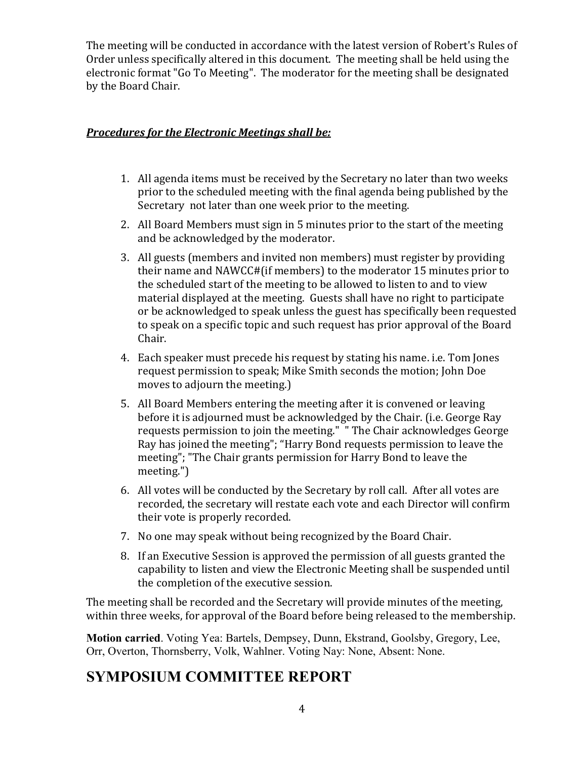The meeting will be conducted in accordance with the latest version of Robert's Rules of Order unless specifically altered in this document. The meeting shall be held using the electronic format "Go To Meeting". The moderator for the meeting shall be designated by the Board Chair.

### *Procedures for the Electronic Meetings shall be:*

- 1. All agenda items must be received by the Secretary no later than two weeks prior to the scheduled meeting with the final agenda being published by the Secretary not later than one week prior to the meeting.
- 2. All Board Members must sign in 5 minutes prior to the start of the meeting and be acknowledged by the moderator.
- 3. All guests (members and invited non members) must register by providing their name and NAWCC#(if members) to the moderator 15 minutes prior to the scheduled start of the meeting to be allowed to listen to and to view material displayed at the meeting. Guests shall have no right to participate or be acknowledged to speak unless the guest has specifically been requested to speak on a specific topic and such request has prior approval of the Board Chair.
- 4. Each speaker must precede his request by stating his name. i.e. Tom Jones request permission to speak; Mike Smith seconds the motion; John Doe moves to adjourn the meeting.)
- 5. All Board Members entering the meeting after it is convened or leaving before it is adjourned must be acknowledged by the Chair. (i.e. George Ray requests permission to join the meeting." " The Chair acknowledges George Ray has joined the meeting"; "Harry Bond requests permission to leave the meeting"; "The Chair grants permission for Harry Bond to leave the meeting.")
- 6. All votes will be conducted by the Secretary by roll call. After all votes are recorded, the secretary will restate each vote and each Director will confirm their vote is properly recorded.
- 7. No one may speak without being recognized by the Board Chair.
- 8. If an Executive Session is approved the permission of all guests granted the capability to listen and view the Electronic Meeting shall be suspended until the completion of the executive session.

The meeting shall be recorded and the Secretary will provide minutes of the meeting, within three weeks, for approval of the Board before being released to the membership.

**Motion carried**. Voting Yea: Bartels, Dempsey, Dunn, Ekstrand, Goolsby, Gregory, Lee, Orr, Overton, Thornsberry, Volk, Wahlner. Voting Nay: None, Absent: None.

## **SYMPOSIUM COMMITTEE REPORT**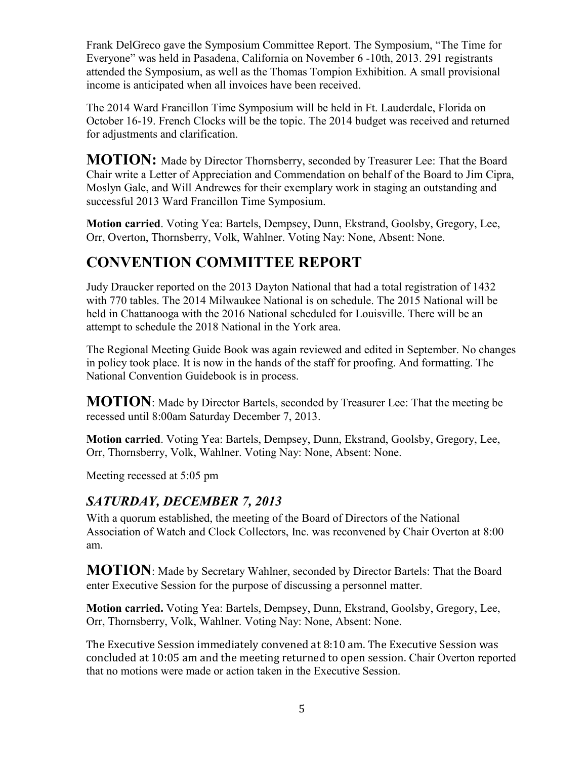Frank DelGreco gave the Symposium Committee Report. The Symposium, "The Time for Everyone" was held in Pasadena, California on November 6 -10th, 2013. 291 registrants attended the Symposium, as well as the Thomas Tompion Exhibition. A small provisional income is anticipated when all invoices have been received.

The 2014 Ward Francillon Time Symposium will be held in Ft. Lauderdale, Florida on October 16-19. French Clocks will be the topic. The 2014 budget was received and returned for adjustments and clarification.

**MOTION:** Made by Director Thornsberry, seconded by Treasurer Lee: That the Board Chair write a Letter of Appreciation and Commendation on behalf of the Board to Jim Cipra, Moslyn Gale, and Will Andrewes for their exemplary work in staging an outstanding and successful 2013 Ward Francillon Time Symposium.

**Motion carried**. Voting Yea: Bartels, Dempsey, Dunn, Ekstrand, Goolsby, Gregory, Lee, Orr, Overton, Thornsberry, Volk, Wahlner. Voting Nay: None, Absent: None.

# **CONVENTION COMMITTEE REPORT**

Judy Draucker reported on the 2013 Dayton National that had a total registration of 1432 with 770 tables. The 2014 Milwaukee National is on schedule. The 2015 National will be held in Chattanooga with the 2016 National scheduled for Louisville. There will be an attempt to schedule the 2018 National in the York area.

The Regional Meeting Guide Book was again reviewed and edited in September. No changes in policy took place. It is now in the hands of the staff for proofing. And formatting. The National Convention Guidebook is in process.

**MOTION**: Made by Director Bartels, seconded by Treasurer Lee: That the meeting be recessed until 8:00am Saturday December 7, 2013.

**Motion carried**. Voting Yea: Bartels, Dempsey, Dunn, Ekstrand, Goolsby, Gregory, Lee, Orr, Thornsberry, Volk, Wahlner. Voting Nay: None, Absent: None.

Meeting recessed at 5:05 pm

## *SATURDAY, DECEMBER 7, 2013*

With a quorum established, the meeting of the Board of Directors of the National Association of Watch and Clock Collectors, Inc. was reconvened by Chair Overton at 8:00 am.

 **MOTION**: Made by Secretary Wahlner, seconded by Director Bartels: That the Board enter Executive Session for the purpose of discussing a personnel matter.

**Motion carried.** Voting Yea: Bartels, Dempsey, Dunn, Ekstrand, Goolsby, Gregory, Lee, Orr, Thornsberry, Volk, Wahlner. Voting Nay: None, Absent: None.

The Executive Session immediately convened at 8:10 am. The Executive Session was concluded at 10:05 am and the meeting returned to open session. Chair Overton reported that no motions were made or action taken in the Executive Session.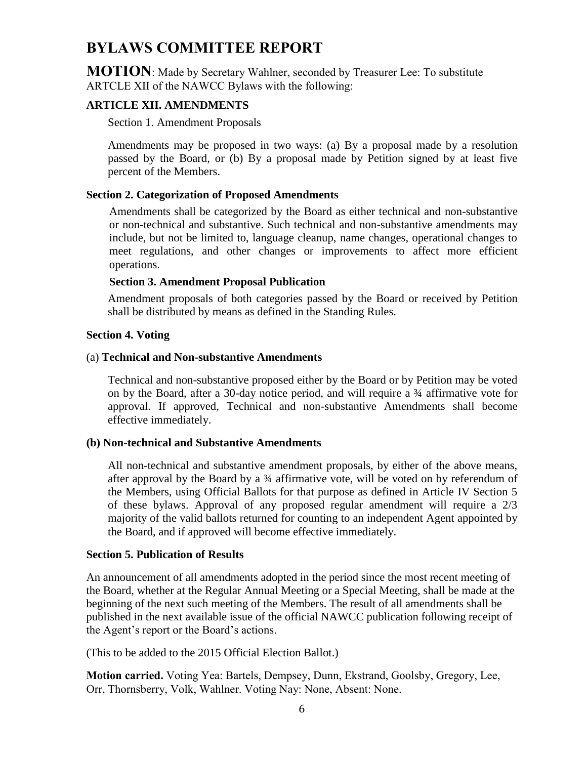## **BYLAWS COMMITTEE REPORT**

**MOTION**: Made by Secretary Wahlner, seconded by Treasurer Lee: To substitute ARTCLE XII of the NAWCC Bylaws with the following:

### **ARTICLE XII. AMENDMENTS**

Section 1. Amendment Proposals

Amendments may be proposed in two ways: (a) By a proposal made by a resolution passed by the Board, or (b) By a proposal made by Petition signed by at least five percent of the Members.

#### **Section 2. Categorization of Proposed Amendments**

Amendments shall be categorized by the Board as either technical and non-substantive or non-technical and substantive. Such technical and non-substantive amendments may include, but not be limited to, language cleanup, name changes, operational changes to meet regulations, and other changes or improvements to affect more efficient operations.

### **Section 3. Amendment Proposal Publication**

Amendment proposals of both categories passed by the Board or received by Petition shall be distributed by means as defined in the Standing Rules.

#### **Section 4. Voting**

#### (a) **Technical and Non-substantive Amendments**

Technical and non-substantive proposed either by the Board or by Petition may be voted on by the Board, after a 30-day notice period, and will require a ¾ affirmative vote for approval. If approved, Technical and non-substantive Amendments shall become effective immediately.

#### **(b) Non-technical and Substantive Amendments**

All non-technical and substantive amendment proposals, by either of the above means, after approval by the Board by a ¾ affirmative vote, will be voted on by referendum of the Members, using Official Ballots for that purpose as defined in Article IV Section 5 of these bylaws. Approval of any proposed regular amendment will require a 2/3 majority of the valid ballots returned for counting to an independent Agent appointed by the Board, and if approved will become effective immediately.

#### **Section 5. Publication of Results**

An announcement of all amendments adopted in the period since the most recent meeting of the Board, whether at the Regular Annual Meeting or a Special Meeting, shall be made at the beginning of the next such meeting of the Members. The result of all amendments shall be published in the next available issue of the official NAWCC publication following receipt of the Agent's report or the Board's actions.

(This to be added to the 2015 Official Election Ballot.)

**Motion carried.** Voting Yea: Bartels, Dempsey, Dunn, Ekstrand, Goolsby, Gregory, Lee, Orr, Thornsberry, Volk, Wahlner. Voting Nay: None, Absent: None.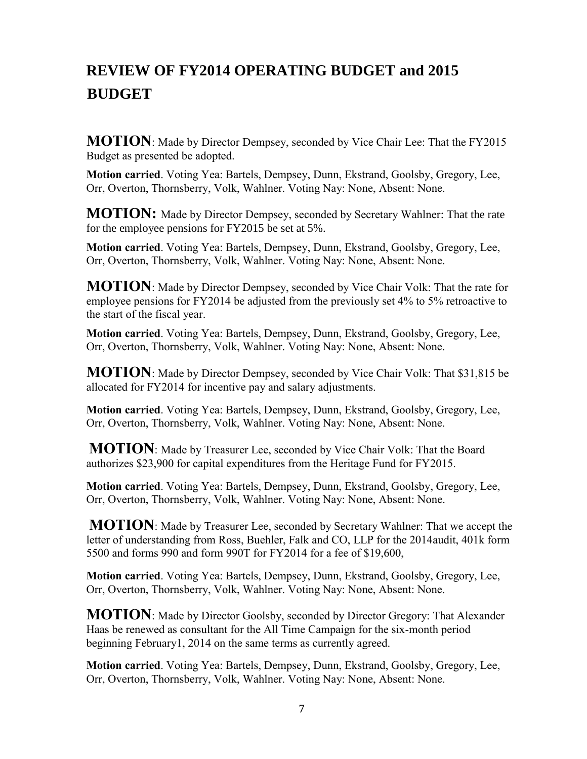# **REVIEW OF FY2014 OPERATING BUDGET and 2015 BUDGET**

**MOTION**: Made by Director Dempsey, seconded by Vice Chair Lee: That the FY2015 Budget as presented be adopted.

**Motion carried**. Voting Yea: Bartels, Dempsey, Dunn, Ekstrand, Goolsby, Gregory, Lee, Orr, Overton, Thornsberry, Volk, Wahlner. Voting Nay: None, Absent: None.

**MOTION:** Made by Director Dempsey, seconded by Secretary Wahlner: That the rate for the employee pensions for FY2015 be set at 5%.

**Motion carried**. Voting Yea: Bartels, Dempsey, Dunn, Ekstrand, Goolsby, Gregory, Lee, Orr, Overton, Thornsberry, Volk, Wahlner. Voting Nay: None, Absent: None.

**MOTION**: Made by Director Dempsey, seconded by Vice Chair Volk: That the rate for employee pensions for FY2014 be adjusted from the previously set 4% to 5% retroactive to the start of the fiscal year.

**Motion carried**. Voting Yea: Bartels, Dempsey, Dunn, Ekstrand, Goolsby, Gregory, Lee, Orr, Overton, Thornsberry, Volk, Wahlner. Voting Nay: None, Absent: None.

**MOTION**: Made by Director Dempsey, seconded by Vice Chair Volk: That \$31,815 be allocated for FY2014 for incentive pay and salary adjustments.

**Motion carried**. Voting Yea: Bartels, Dempsey, Dunn, Ekstrand, Goolsby, Gregory, Lee, Orr, Overton, Thornsberry, Volk, Wahlner. Voting Nay: None, Absent: None.

**MOTION**: Made by Treasurer Lee, seconded by Vice Chair Volk: That the Board authorizes \$23,900 for capital expenditures from the Heritage Fund for FY2015.

**Motion carried**. Voting Yea: Bartels, Dempsey, Dunn, Ekstrand, Goolsby, Gregory, Lee, Orr, Overton, Thornsberry, Volk, Wahlner. Voting Nay: None, Absent: None.

**MOTION**: Made by Treasurer Lee, seconded by Secretary Wahlner: That we accept the letter of understanding from Ross, Buehler, Falk and CO, LLP for the 2014audit, 401k form 5500 and forms 990 and form 990T for FY2014 for a fee of \$19,600,

**Motion carried**. Voting Yea: Bartels, Dempsey, Dunn, Ekstrand, Goolsby, Gregory, Lee, Orr, Overton, Thornsberry, Volk, Wahlner. Voting Nay: None, Absent: None.

**MOTION**: Made by Director Goolsby, seconded by Director Gregory: That Alexander Haas be renewed as consultant for the All Time Campaign for the six-month period beginning February1, 2014 on the same terms as currently agreed.

**Motion carried**. Voting Yea: Bartels, Dempsey, Dunn, Ekstrand, Goolsby, Gregory, Lee, Orr, Overton, Thornsberry, Volk, Wahlner. Voting Nay: None, Absent: None.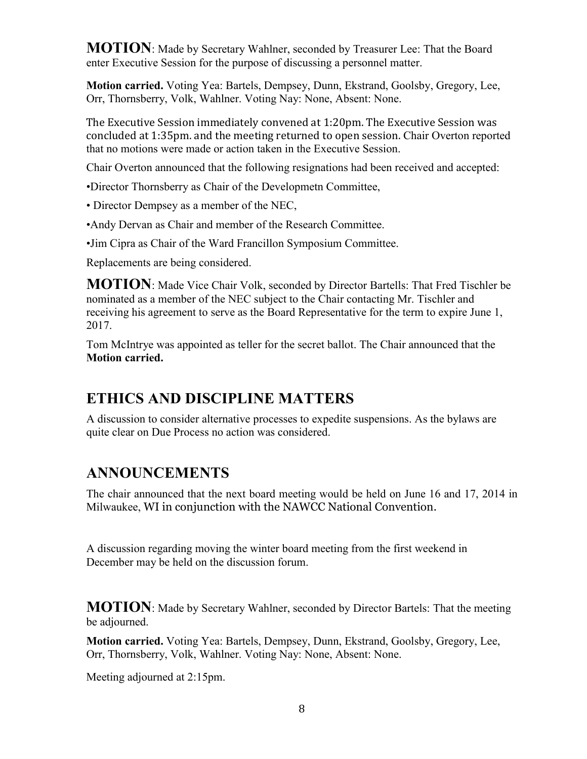**MOTION**: Made by Secretary Wahlner, seconded by Treasurer Lee: That the Board enter Executive Session for the purpose of discussing a personnel matter.

**Motion carried.** Voting Yea: Bartels, Dempsey, Dunn, Ekstrand, Goolsby, Gregory, Lee, Orr, Thornsberry, Volk, Wahlner. Voting Nay: None, Absent: None.

The Executive Session immediately convened at 1:20pm. The Executive Session was concluded at 1:35pm. and the meeting returned to open session. Chair Overton reported that no motions were made or action taken in the Executive Session.

Chair Overton announced that the following resignations had been received and accepted:

•Director Thornsberry as Chair of the Developmetn Committee,

• Director Dempsey as a member of the NEC,

•Andy Dervan as Chair and member of the Research Committee.

•Jim Cipra as Chair of the Ward Francillon Symposium Committee.

Replacements are being considered.

**MOTION**: Made Vice Chair Volk, seconded by Director Bartells: That Fred Tischler be nominated as a member of the NEC subject to the Chair contacting Mr. Tischler and receiving his agreement to serve as the Board Representative for the term to expire June 1, 2017.

Tom McIntrye was appointed as teller for the secret ballot. The Chair announced that the **Motion carried.**

# **ETHICS AND DISCIPLINE MATTERS**

A discussion to consider alternative processes to expedite suspensions. As the bylaws are quite clear on Due Process no action was considered.

# **ANNOUNCEMENTS**

The chair announced that the next board meeting would be held on June 16 and 17, 2014 in Milwaukee, WI in conjunction with the NAWCC National Convention.

A discussion regarding moving the winter board meeting from the first weekend in December may be held on the discussion forum.

**MOTION**: Made by Secretary Wahlner, seconded by Director Bartels: That the meeting be adjourned.

**Motion carried.** Voting Yea: Bartels, Dempsey, Dunn, Ekstrand, Goolsby, Gregory, Lee, Orr, Thornsberry, Volk, Wahlner. Voting Nay: None, Absent: None.

Meeting adjourned at 2:15pm.